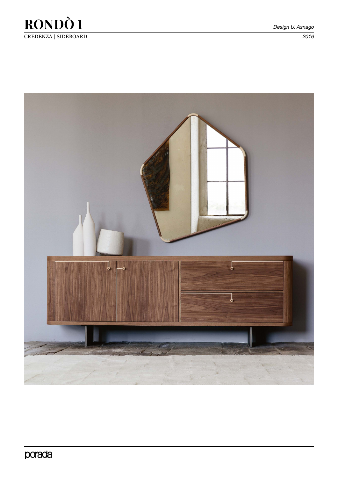

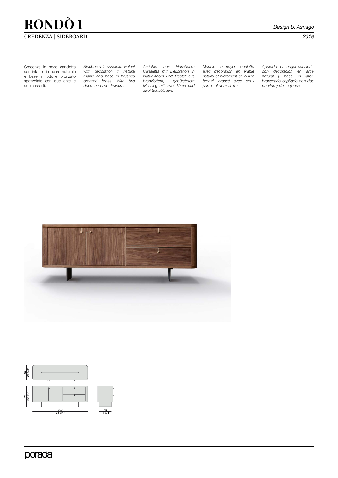## **RONDÒ 1** *Design U. Asnago* CREDENZA | SIDEBOARD *2016*

Credenza in noce canaletta con intarsio in acero naturale e base in ottone bronzato spazzolato con due ante e due cassetti.

*Sideboard in canaletta walnut with decoration in natural maple and base in brushed bronzed brass. With two doors and two drawers.* 

*Anrichte aus Nussbaum Canaletta mit Dekoration in Natur-Ahorn und Gestell aus bronziertem, gebürstetem Messing mit zwei Türen und zwei Schubladen.* 

*Meuble en noyer canaletta avec décoration en érable naturel et piètement en cuivre bronzé brossé avec deux portes et deux tiroirs.* 

*Aparador en nogal canaletta con decoración en arce natural y base en latón bronceado cepillado con dos puertas y dos cajones.* 





porada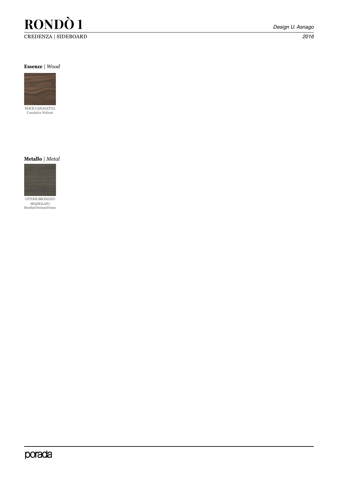## **RONDÒ 1** *Design U. Asnago* CREDENZA | SIDEBOARD *2016*

#### **Essenze** | *Wood*





OTTONE BRONZATO SPAZZOLATO Brushed bronzed brass

## porada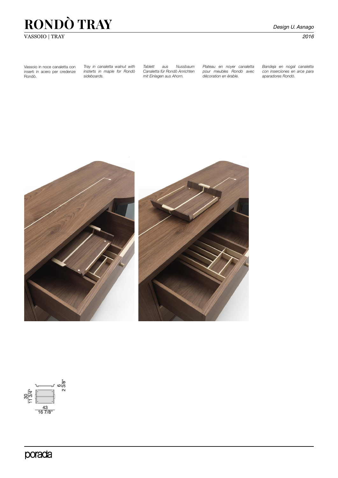# **RONDÒ TRAY** *Design U. Asnago*

### VASSOIO | TRAY *2016*

Vassoio in noce canaletta con inserti in acero per credenze Rondò.

*Tray in canaletta walnut with insterts in maple for Rondò sideboards.*

*Tablett aus Nussbaum Canaletta für Rondò Anrichten mit Einlagen aus Ahorn.* 

*Plateau en noyer canaletta pour meubles Rondò avec décoration en érable.* 

*Bandeja en nogal canaletta con inserciones en arce para aparadores Rondò.*





porada